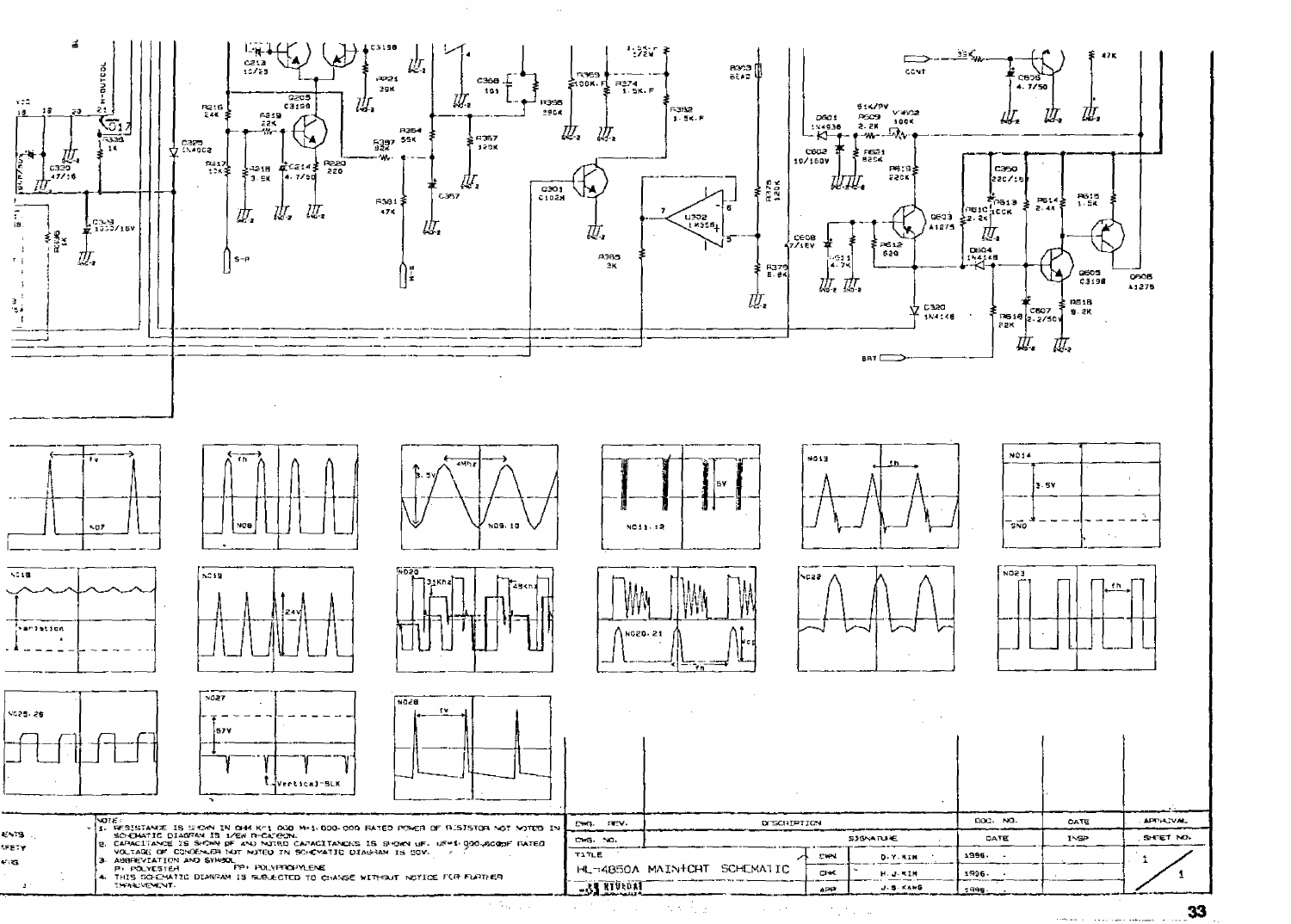

 $\mathcal{O}(\mathcal{O}_\mathcal{A})$  .

 $\sim 100$  $\sim$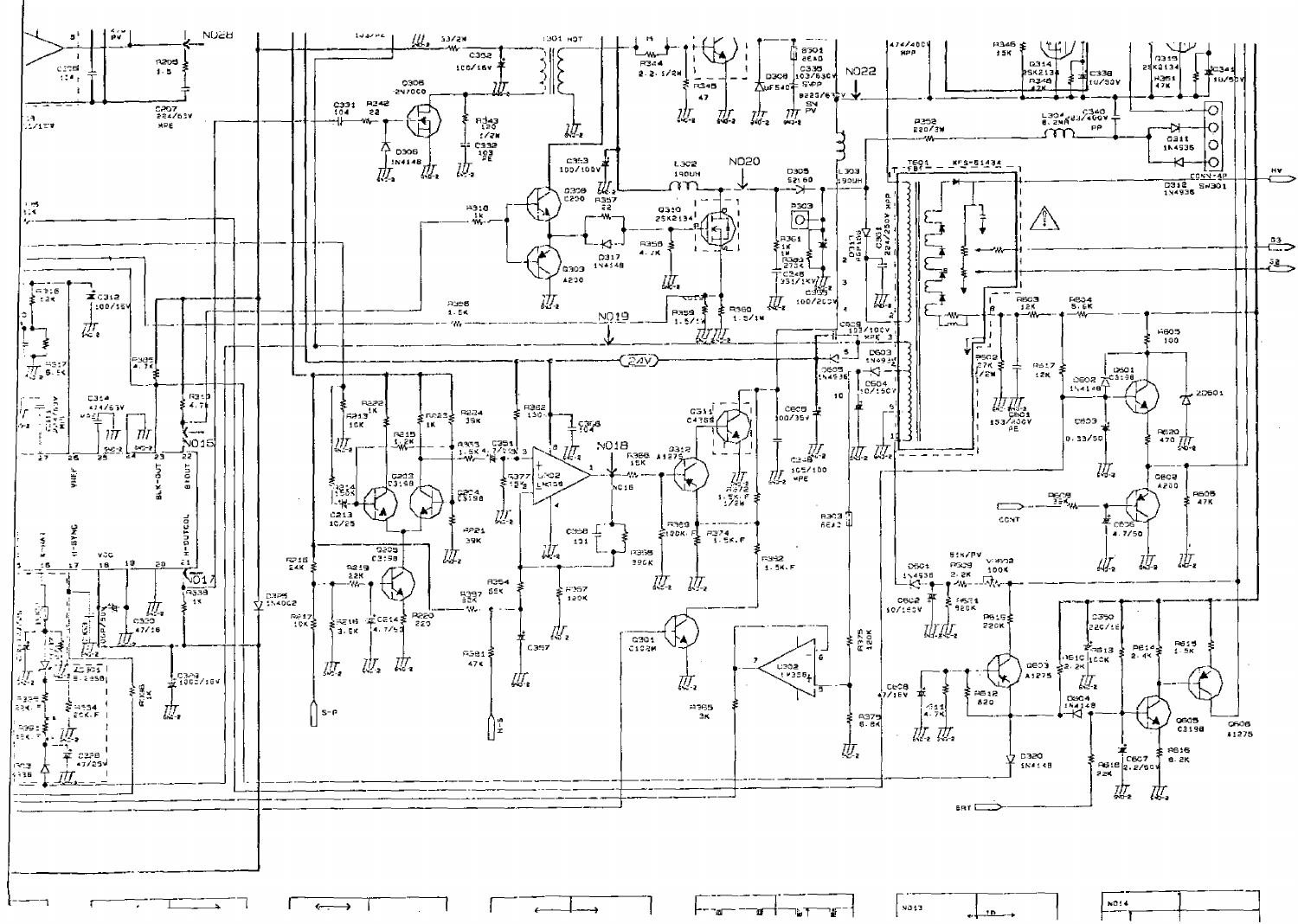

| 5013 | <b>INCIA</b> |  |
|------|--------------|--|
|      |              |  |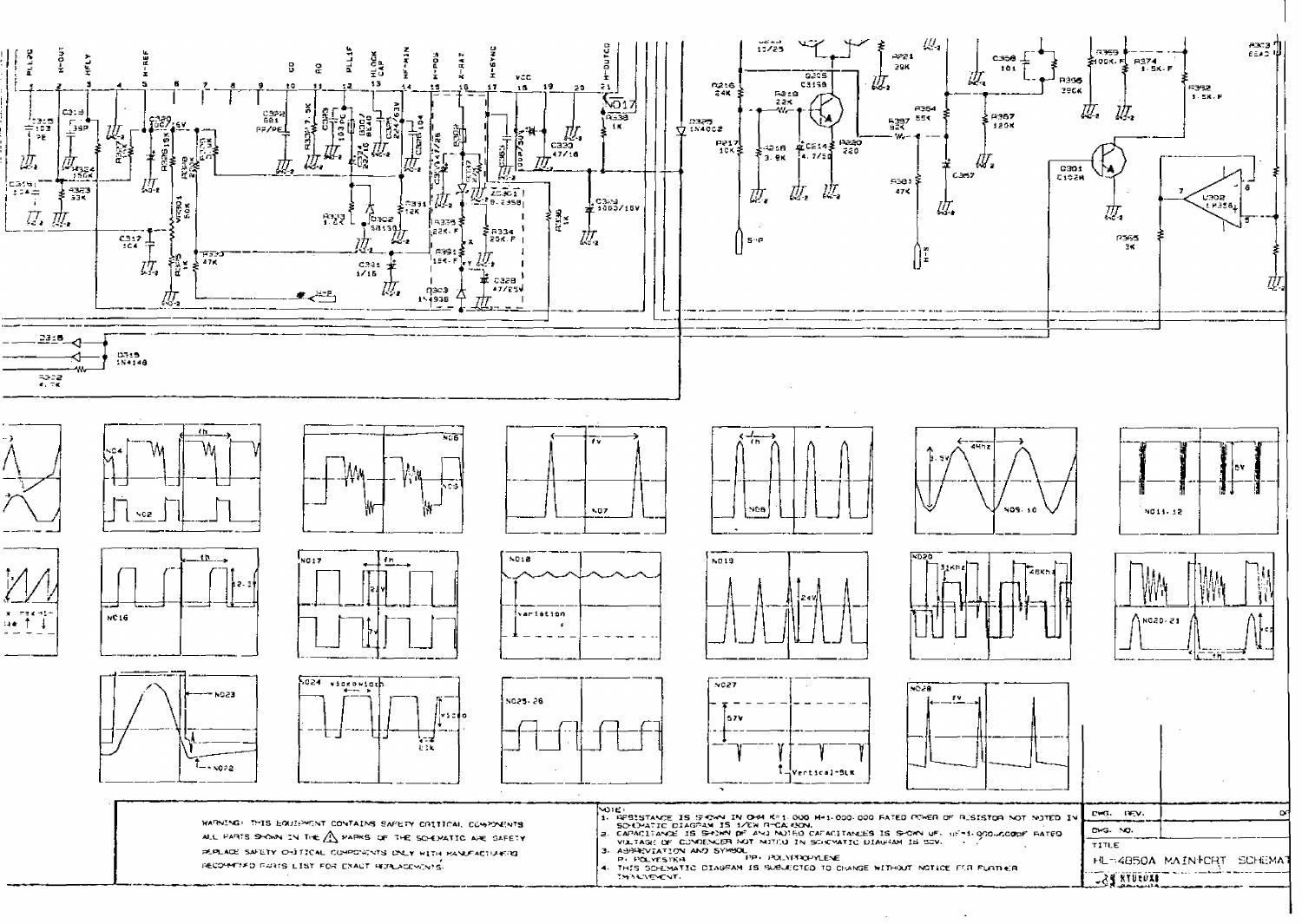

- 
- 

 $\Delta$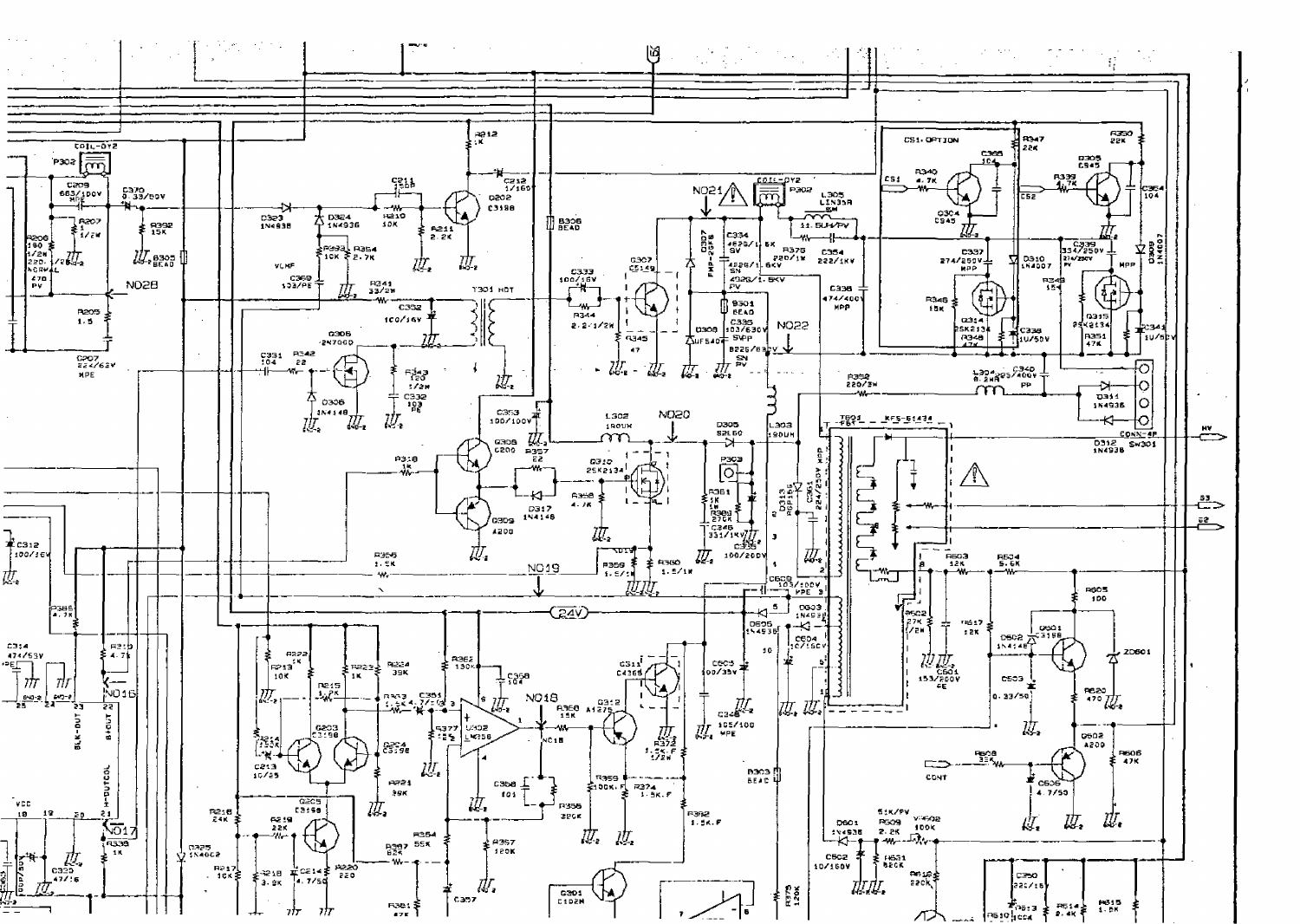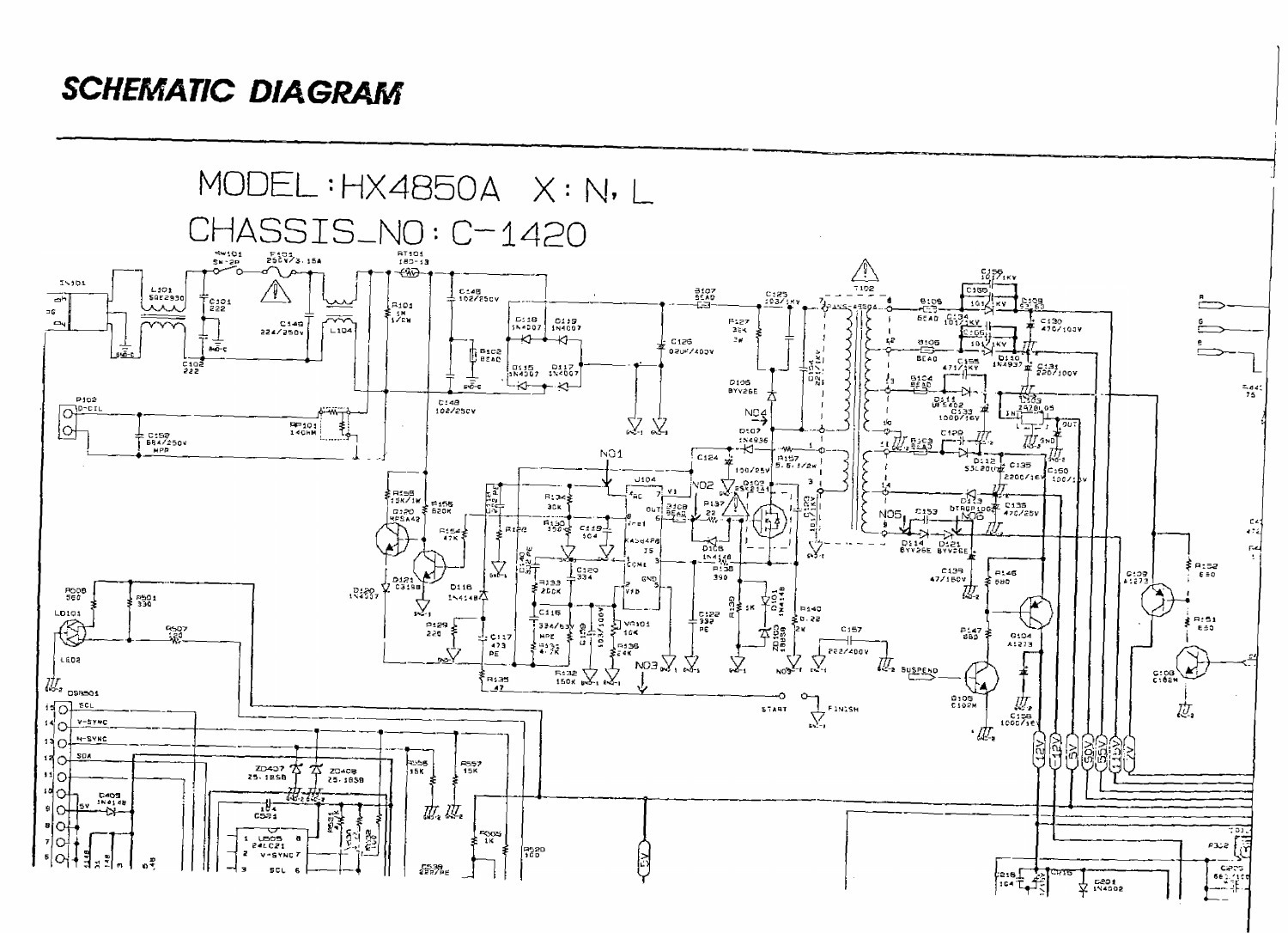## *SCHEMATIC DIAGRAM*

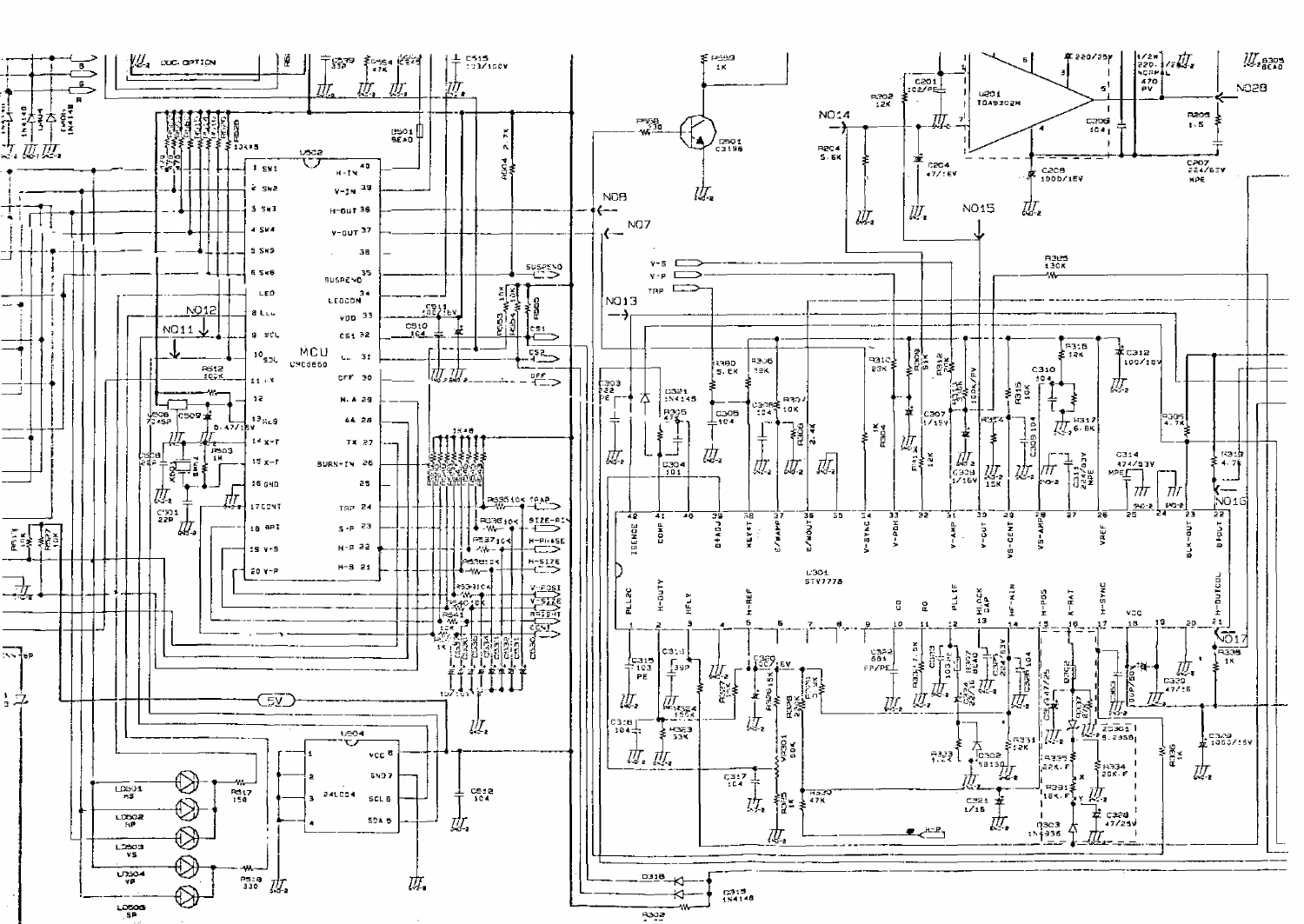